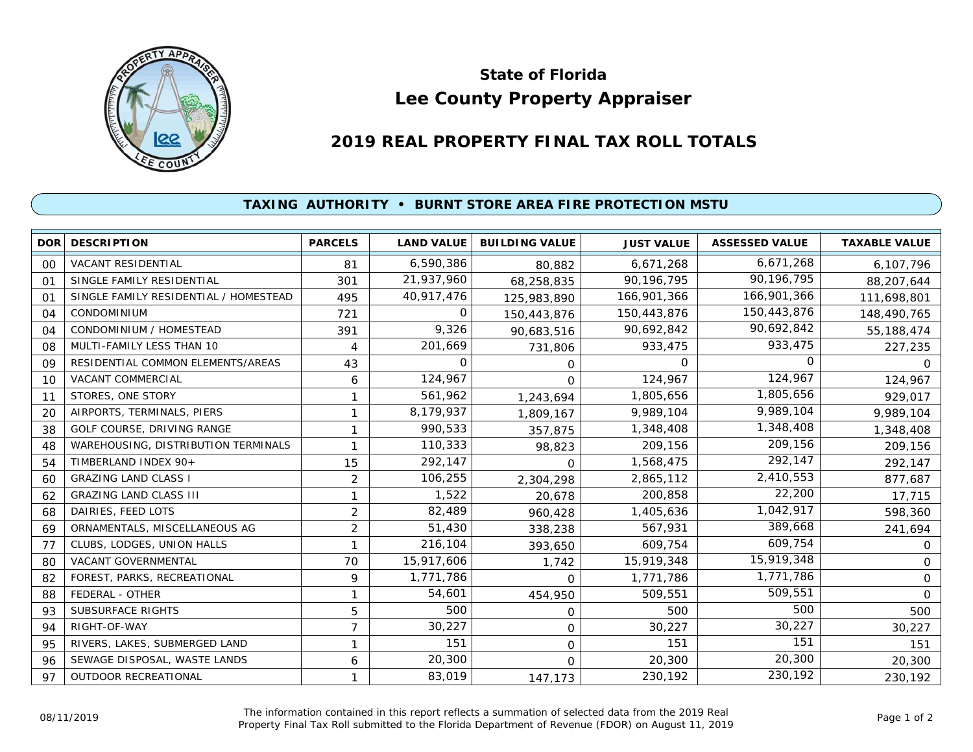

## **Lee County Property Appraiser State of Florida**

## **2019 REAL PROPERTY FINAL TAX ROLL TOTALS**

## **TAXING AUTHORITY • BURNT STORE AREA FIRE PROTECTION MSTU**

| <b>DOR</b>     | <b>DESCRIPTION</b>                    | <b>PARCELS</b> | <b>LAND VALUE</b> | <b>BUILDING VALUE</b> | <b>JUST VALUE</b> | <b>ASSESSED VALUE</b> | <b>TAXABLE VALUE</b> |
|----------------|---------------------------------------|----------------|-------------------|-----------------------|-------------------|-----------------------|----------------------|
| 0 <sup>0</sup> | VACANT RESIDENTIAL                    | 81             | 6,590,386         | 80,882                | 6,671,268         | 6,671,268             | 6,107,796            |
| 01             | SINGLE FAMILY RESIDENTIAL             | 301            | 21,937,960        | 68,258,835            | 90,196,795        | 90,196,795            | 88,207,644           |
| 01             | SINGLE FAMILY RESIDENTIAL / HOMESTEAD | 495            | 40,917,476        | 125,983,890           | 166,901,366       | 166,901,366           | 111,698,801          |
| 04             | <b>CONDOMINIUM</b>                    | 721            | 0                 | 150,443,876           | 150,443,876       | 150,443,876           | 148,490,765          |
| 04             | CONDOMINIUM / HOMESTEAD               | 391            | 9,326             | 90,683,516            | 90,692,842        | 90,692,842            | 55,188,474           |
| 08             | MULTI-FAMILY LESS THAN 10             | 4              | 201,669           | 731,806               | 933,475           | 933,475               | 227,235              |
| 09             | RESIDENTIAL COMMON ELEMENTS/AREAS     | 43             | 0                 | 0                     | $\Omega$          | 0                     | O.                   |
| 10             | VACANT COMMERCIAL                     | 6              | 124,967           | 0                     | 124,967           | 124,967               | 124,967              |
| 11             | STORES, ONE STORY                     | 1              | 561,962           | 1,243,694             | 1,805,656         | 1,805,656             | 929,017              |
| 20             | AIRPORTS, TERMINALS, PIERS            | 1              | 8,179,937         | 1,809,167             | 9,989,104         | 9,989,104             | 9,989,104            |
| 38             | GOLF COURSE, DRIVING RANGE            | 1              | 990,533           | 357,875               | 1,348,408         | 1,348,408             | 1,348,408            |
| 48             | WAREHOUSING, DISTRIBUTION TERMINALS   | 1              | 110,333           | 98,823                | 209,156           | 209,156               | 209,156              |
| 54             | TIMBERLAND INDEX 90+                  | 15             | 292,147           | $\Omega$              | 1,568,475         | 292,147               | 292,147              |
| 60             | <b>GRAZING LAND CLASS I</b>           | $\overline{2}$ | 106,255           | 2,304,298             | 2,865,112         | 2,410,553             | 877,687              |
| 62             | <b>GRAZING LAND CLASS III</b>         | 1              | 1,522             | 20,678                | 200,858           | 22,200                | 17,715               |
| 68             | DAIRIES, FEED LOTS                    | $\overline{2}$ | 82,489            | 960,428               | 1,405,636         | 1,042,917             | 598,360              |
| 69             | ORNAMENTALS, MISCELLANEOUS AG         | $\overline{c}$ | 51,430            | 338,238               | 567,931           | 389,668               | 241,694              |
| 77             | CLUBS, LODGES, UNION HALLS            | 1              | 216,104           | 393,650               | 609,754           | 609,754               | 0                    |
| 80             | <b>VACANT GOVERNMENTAL</b>            | 70             | 15,917,606        | 1,742                 | 15,919,348        | 15,919,348            | 0                    |
| 82             | FOREST, PARKS, RECREATIONAL           | 9              | 1,771,786         | $\Omega$              | 1,771,786         | 1,771,786             | $\Omega$             |
| 88             | FEDERAL - OTHER                       | 1              | 54,601            | 454,950               | 509,551           | 509,551               | $\Omega$             |
| 93             | <b>SUBSURFACE RIGHTS</b>              | 5              | 500               | $\mathbf 0$           | 500               | 500                   | 500                  |
| 94             | RIGHT-OF-WAY                          | 7              | 30,227            | 0                     | 30,227            | 30,227                | 30,227               |
| 95             | RIVERS, LAKES, SUBMERGED LAND         | 1              | 151               | $\mathbf 0$           | 151               | 151                   | 151                  |
| 96             | SEWAGE DISPOSAL, WASTE LANDS          | 6              | 20,300            | $\Omega$              | 20,300            | 20,300                | 20,300               |
| 97             | <b>OUTDOOR RECREATIONAL</b>           | 1              | 83,019            | 147,173               | 230,192           | 230,192               | 230,192              |